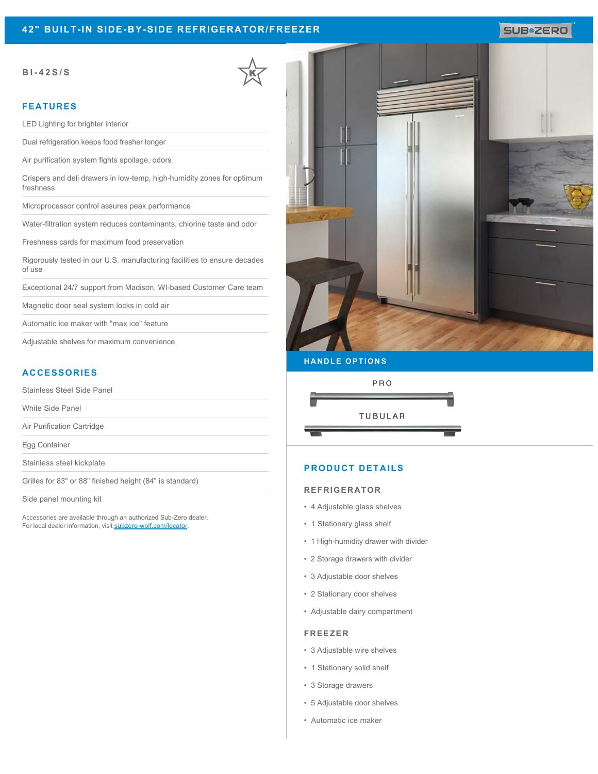# **42" BUILT-IN SIDE-BY-SIDE REFRIGERATOR/FREEZER**

#### **BI-42S/S**

### **FEATURES**

LED Lighting for brighter interior

Dual refrigeration keeps food fresher longer

Air purification system fights spoilage, odors

Crispers and deli drawers in low-temp, high-humidity zones for optimum freshness

Microprocessor control assures peak performance

Water-filtration system reduces contaminants, chlorine taste and odor

Freshness cards for maximum food preservation

Rigorously tested in our U.S. manufacturing facilities to ensure decades of use

Exceptional 24/7 support from Madison, WI-based Customer Care team

Magnetic door seal system locks in cold air

Automatic ice maker with "max ice" feature

Adjustable shelves for maximum convenience

## **ACCESSORIES**

Stainless Steel Side Panel

White Side Panel

Air Purification Cartridge

Egg Container

Stainless steel kickplate

Grilles for 83" or 88" finished height (84" is standard)

Side panel mounting kit

Accessories are available through an authorized Sub-Zero dealer. For local dealer information, visit [subzero-wolf.com/locator.](http://www.subzero-wolf.com/locator)



SUB<sup>\*</sup>ZERO

### **HANDLE OPTIONS**



## **PRODUCT DETAILS**

#### **REFRIGERATOR**

- 4 Adjustable glass shelves
- 1 Stationary glass shelf
- 1 High-humidity drawer with divider
- 2 Storage drawers with divider
- 3 Adjustable door shelves
- 2 Stationary door shelves
- Adjustable dairy compartment

#### **FREEZER**

- 3 Adjustable wire shelves
- 1 Stationary solid shelf
- 3 Storage drawers
- 5 Adjustable door shelves
- Automatic ice maker